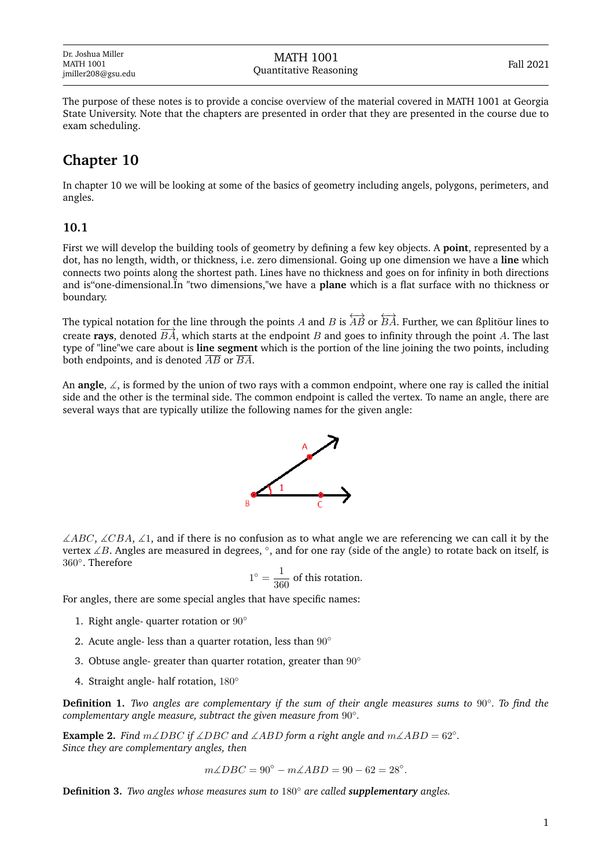Dr. Joshua Miller MATH 1001 jmiller208@gsu.edu

The purpose of these notes is to provide a concise overview of the material covered in MATH 1001 at Georgia State University. Note that the chapters are presented in order that they are presented in the course due to exam scheduling.

## **Chapter 10**

In chapter 10 we will be looking at some of the basics of geometry including angels, polygons, perimeters, and angles.

## **10.1**

First we will develop the building tools of geometry by defining a few key objects. A **point**, represented by a dot, has no length, width, or thickness, i.e. zero dimensional. Going up one dimension we have a **line** which connects two points along the shortest path. Lines have no thickness and goes on for infinity in both directions and is"one-dimensional.Ïn "two dimensions,"we have a **plane** which is a flat surface with no thickness or boundary.

The typical notation for the line through the points A and B is  $\overleftrightarrow{AB}$  or  $\overleftrightarrow{BA}$ . Further, we can ßplitöur lines to create **rays**, denoted  $\overrightarrow{BA}$ , which starts at the endpoint B and goes to infinity through the point A. The last type of "line"we care about is **line segment** which is the portion of the line joining the two points, including both endpoints, and is denoted  $\overline{AB}$  or  $\overline{BA}$ .

An **angle**, ∡, is formed by the union of two rays with a common endpoint, where one ray is called the initial side and the other is the terminal side. The common endpoint is called the vertex. To name an angle, there are several ways that are typically utilize the following names for the given angle:



∠ $\triangle ABC$ ,  $\angle CBA$ ,  $\angle$ 1, and if there is no confusion as to what angle we are referencing we can call it by the vertex ∠B. Angles are measured in degrees, °, and for one ray (side of the angle) to rotate back on itself, is 360◦ . Therefore

$$
1^{\circ} = \frac{1}{360}
$$
 of this rotation.

For angles, there are some special angles that have specific names:

- 1. Right angle- quarter rotation or 90°
- 2. Acute angle- less than a quarter rotation, less than  $90^\circ$
- 3. Obtuse angle- greater than quarter rotation, greater than  $90^\circ$
- 4. Straight angle- half rotation, 180°

**Definition 1.** *Two angles are complementary if the sum of their angle measures sums to* 90◦ *. To find the complementary angle measure, subtract the given measure from* 90◦ *.*

**Example 2.** *Find*  $m\angle DBC$  *if*  $\angle DBC$  *and*  $\angle ABD$  *form a right angle and*  $m\angle ABD = 62°$ *. Since they are complementary angles, then*

 $m\angle DBC = 90^{\circ} - m\angle ABD = 90 - 62 = 28^{\circ}.$ 

**Definition 3.** *Two angles whose measures sum to* 180◦ *are called supplementary angles.*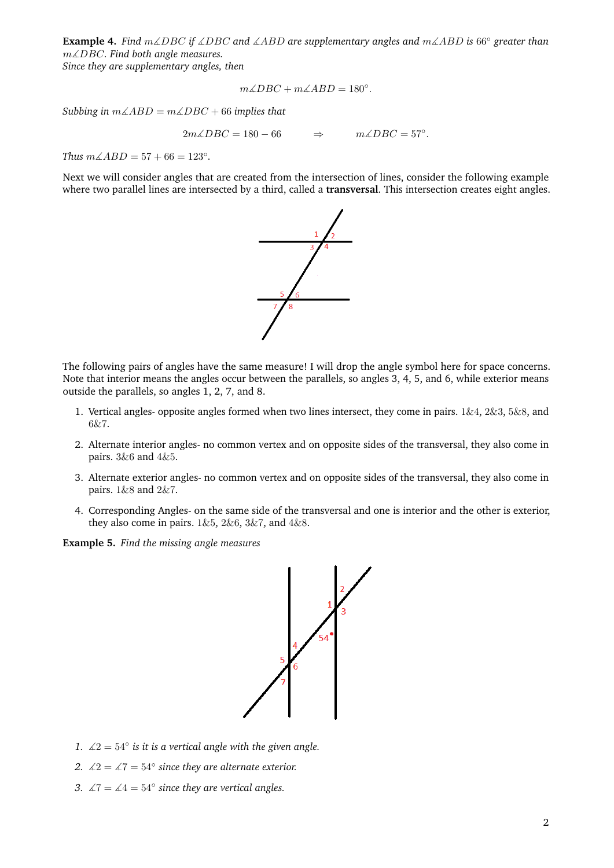**Example 4.** *Find* m∡DBC *if* ∡DBC *and* ∡ABD *are supplementary angles and* m∡ABD *is* 66◦ *greater than* m∡DBC*. Find both angle measures.*

*Since they are supplementary angles, then*

$$
m\angle DBC + m\angle ABD = 180^{\circ}.
$$

*Subbing in* m∡ABD = m∡DBC + 66 *implies that*

$$
2m\angle DBC = 180 - 66 \qquad \Rightarrow \qquad m\angle DBC = 57^{\circ}.
$$

*Thus*  $m\angle ABD = 57 + 66 = 123^\circ$ *.* 

Next we will consider angles that are created from the intersection of lines, consider the following example where two parallel lines are intersected by a third, called a **transversal**. This intersection creates eight angles.



The following pairs of angles have the same measure! I will drop the angle symbol here for space concerns. Note that interior means the angles occur between the parallels, so angles 3, 4, 5, and 6, while exterior means outside the parallels, so angles 1, 2, 7, and 8.

- 1. Vertical angles- opposite angles formed when two lines intersect, they come in pairs.  $1\&4, 2\&3, 5\&8,$  and 6&7.
- 2. Alternate interior angles- no common vertex and on opposite sides of the transversal, they also come in pairs. 3&6 and 4&5.
- 3. Alternate exterior angles- no common vertex and on opposite sides of the transversal, they also come in pairs. 1&8 and 2&7.
- 4. Corresponding Angles- on the same side of the transversal and one is interior and the other is exterior, they also come in pairs.  $1\&5$ ,  $2\&6$ ,  $3\&7$ , and  $4\&8$ .

**Example 5.** *Find the missing angle measures*



- 1.  $\angle 2 = 54^\circ$  *is it is a vertical angle with the given angle.*
- 2.  $\angle 2 = \angle 7 = 54^\circ$  since they are alternate exterior.
- 3.  $\angle 7 = \angle 4 = 54^\circ$  since they are vertical angles.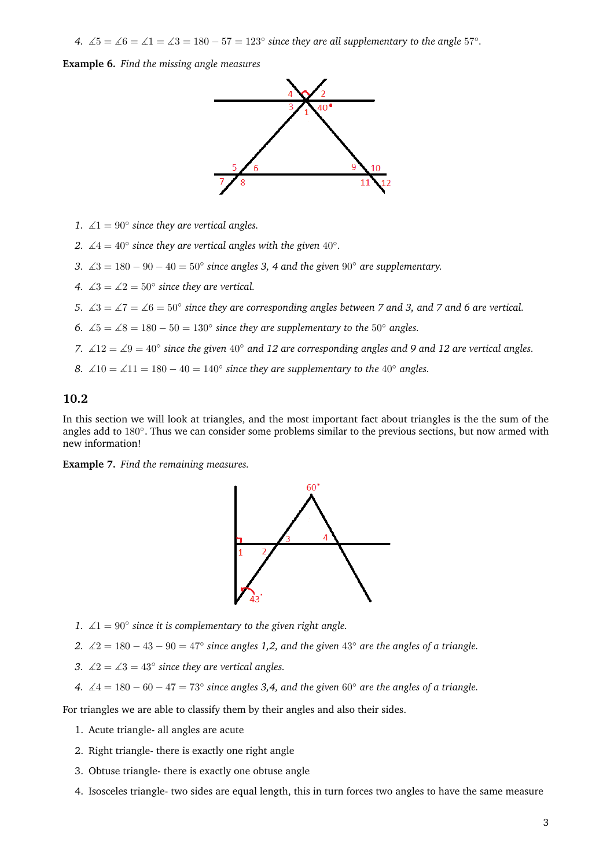*4.*  $\angle 5 = \angle 6 = \angle 1 = \angle 3 = 180 - 57 = 123^\circ$  since they are all supplementary to the angle 57°.

**Example 6.** *Find the missing angle measures*



- 1.  $\angle 1 = 90^\circ$  since they are vertical angles.
- 2.  $\angle 4 = 40^\circ$  since they are vertical angles with the given  $40^\circ$ .
- *3.*  $\angle 3 = 180 90 40 = 50°$  *since angles 3, 4 and the given* 90° *are supplementary.*
- 4.  $\angle 3 = \angle 2 = 50^\circ$  since they are vertical.
- *5.*  $\angle 3 = \angle 7 = \angle 6 = 50^\circ$  since they are corresponding angles between 7 and 3, and 7 and 6 are vertical.
- *6.*  $\angle 5 = \angle 8 = 180 50 = 130°$  *since they are supplementary to the* 50° *angles.*
- *7.* ∡12 = ∡9 = 40◦ *since the given* 40◦ *and 12 are corresponding angles and 9 and 12 are vertical angles.*
- *8.*  $\angle 10 = \angle 11 = 180 40 = 140°$  *since they are supplementary to the* 40° *angles.*

## **10.2**

In this section we will look at triangles, and the most important fact about triangles is the the sum of the angles add to 180°. Thus we can consider some problems similar to the previous sections, but now armed with new information!

**Example 7.** *Find the remaining measures.*



- *1.*  $\angle$ 1 = 90 $\degree$  since it is complementary to the given right angle.
- *2.* ∡2 = 180 − 43 − 90 = 47◦ *since angles 1,2, and the given* 43◦ *are the angles of a triangle.*
- 3.  $\angle 2 = \angle 3 = 43^\circ$  since they are vertical angles.
- *4.*  $\angle 4 = 180 60 47 = 73°$  since angles 3,4, and the given 60° are the angles of a triangle.

For triangles we are able to classify them by their angles and also their sides.

- 1. Acute triangle- all angles are acute
- 2. Right triangle- there is exactly one right angle
- 3. Obtuse triangle- there is exactly one obtuse angle
- 4. Isosceles triangle- two sides are equal length, this in turn forces two angles to have the same measure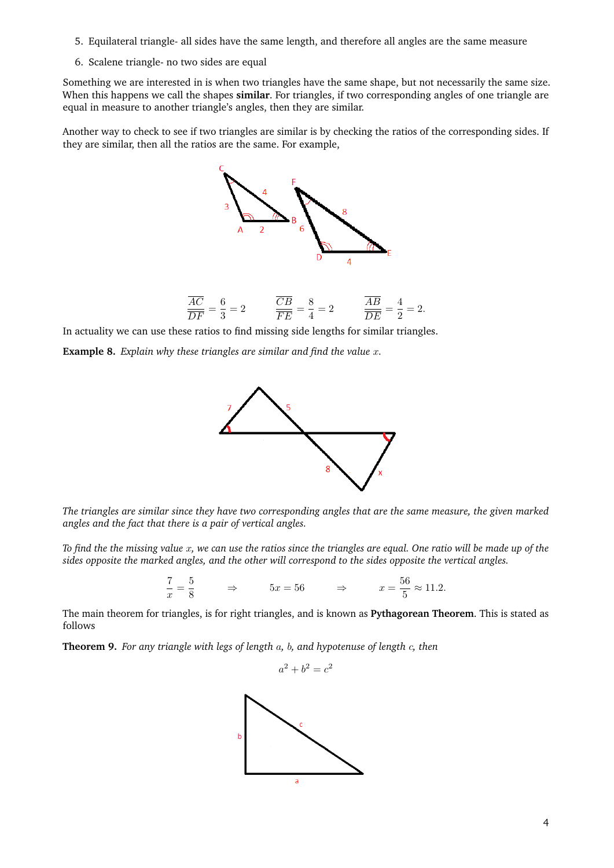- 5. Equilateral triangle- all sides have the same length, and therefore all angles are the same measure
- 6. Scalene triangle- no two sides are equal

Something we are interested in is when two triangles have the same shape, but not necessarily the same size. When this happens we call the shapes **similar**. For triangles, if two corresponding angles of one triangle are equal in measure to another triangle's angles, then they are similar.

Another way to check to see if two triangles are similar is by checking the ratios of the corresponding sides. If they are similar, then all the ratios are the same. For example,



In actuality we can use these ratios to find missing side lengths for similar triangles.

**Example 8.** *Explain why these triangles are similar and find the value* x*.*



*The triangles are similar since they have two corresponding angles that are the same measure, the given marked angles and the fact that there is a pair of vertical angles.*

*To find the the missing value* x*, we can use the ratios since the triangles are equal. One ratio will be made up of the sides opposite the marked angles, and the other will correspond to the sides opposite the vertical angles.*

$$
\frac{7}{x} = \frac{5}{8} \qquad \Rightarrow \qquad 5x = 56 \qquad \Rightarrow \qquad x = \frac{56}{5} \approx 11.2.
$$

The main theorem for triangles, is for right triangles, and is known as **Pythagorean Theorem**. This is stated as follows

**Theorem 9.** *For any triangle with legs of length* a*,* b*, and hypotenuse of length* c*, then*

 $a^2 + b^2 = c^2$ 

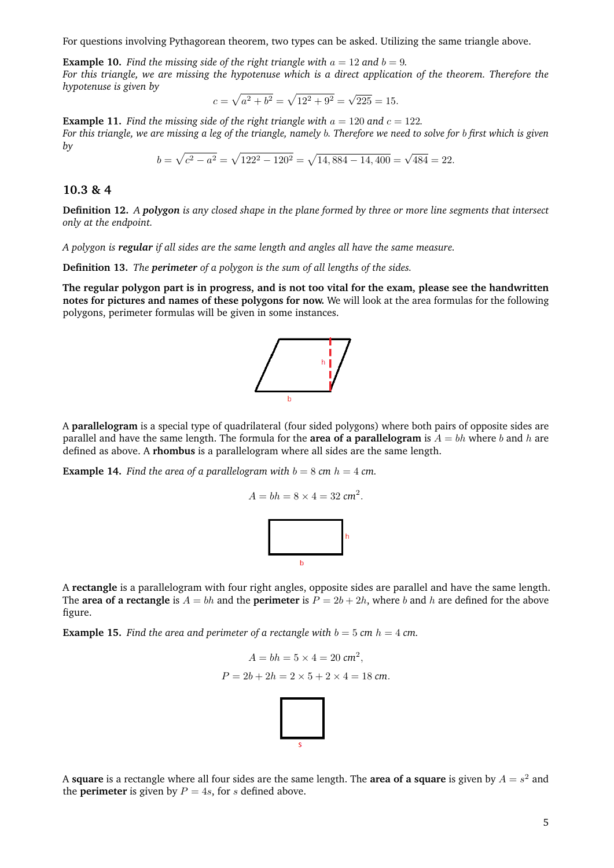For questions involving Pythagorean theorem, two types can be asked. Utilizing the same triangle above.

**Example 10.** *Find the missing side of the right triangle with*  $a = 12$  *and*  $b = 9$ *. For this triangle, we are missing the hypotenuse which is a direct application of the theorem. Therefore the hypotenuse is given by* √

$$
c = \sqrt{a^2 + b^2} = \sqrt{12^2 + 9^2} = \sqrt{225} = 15.
$$

**Example 11.** Find the missing side of the right triangle with  $a = 120$  and  $c = 122$ . *For this triangle, we are missing a leg of the triangle, namely* b*. Therefore we need to solve for* b *first which is given by*

$$
b = \sqrt{c^2 - a^2} = \sqrt{122^2 - 120^2} = \sqrt{14,884 - 14,400} = \sqrt{484} = 22.
$$

## **10.3 & 4**

**Definition 12.** *A polygon is any closed shape in the plane formed by three or more line segments that intersect only at the endpoint.*

*A polygon is regular if all sides are the same length and angles all have the same measure.*

**Definition 13.** *The perimeter of a polygon is the sum of all lengths of the sides.*

**The regular polygon part is in progress, and is not too vital for the exam, please see the handwritten notes for pictures and names of these polygons for now.** We will look at the area formulas for the following polygons, perimeter formulas will be given in some instances.



A **parallelogram** is a special type of quadrilateral (four sided polygons) where both pairs of opposite sides are parallel and have the same length. The formula for the **area of a parallelogram** is  $A = bh$  where b and h are defined as above. A **rhombus** is a parallelogram where all sides are the same length.

**Example 14.** *Find the area of a parallelogram with*  $b = 8$  *cm*  $h = 4$  *cm.* 

$$
\begin{array}{c}\n\\
b\n\end{array}
$$

 $A = bh = 8 \times 4 = 32 \text{ cm}^2.$ 

A **rectangle** is a parallelogram with four right angles, opposite sides are parallel and have the same length. The **area of a rectangle** is  $A = bh$  and the **perimeter** is  $P = 2b + 2h$ , where b and h are defined for the above figure.

**Example 15.** *Find the area and perimeter of a rectangle with*  $b = 5$  *cm*  $h = 4$  *cm.* 

$$
A = bh = 5 \times 4 = 20 \text{ cm}^2,
$$
  

$$
P = 2b + 2h = 2 \times 5 + 2 \times 4 = 18 \text{ cm}.
$$

A **square** is a rectangle where all four sides are the same length. The **area of a square** is given by  $A = s^2$  and the **perimeter** is given by  $P = 4s$ , for s defined above.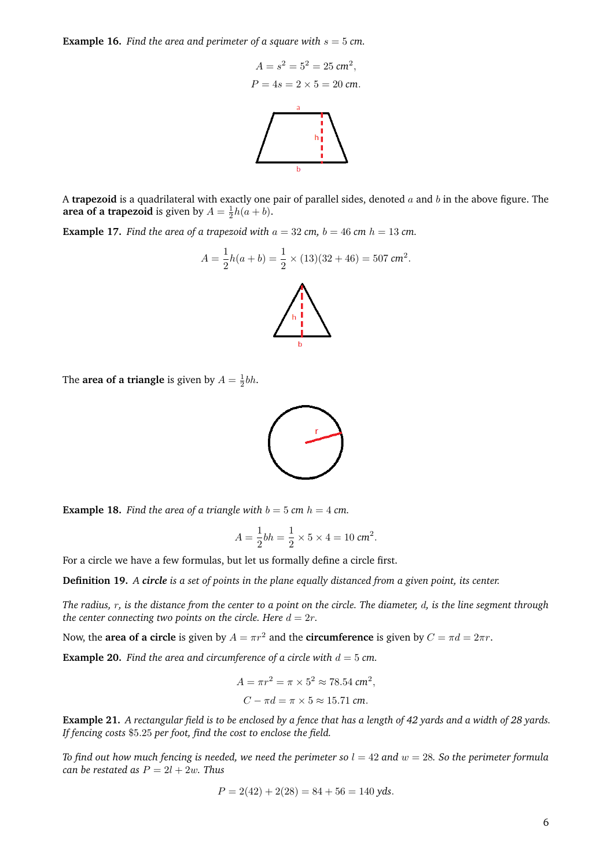**Example 16.** Find the area and perimeter of a square with  $s = 5$  cm.



A **trapezoid** is a quadrilateral with exactly one pair of parallel sides, denoted a and b in the above figure. The **area of a trapezoid** is given by  $A = \frac{1}{2}h(a + b)$ .

**Example 17.** *Find the area of a trapezoid with*  $a = 32$  *cm,*  $b = 46$  *cm*  $h = 13$  *cm.* 

$$
A = \frac{1}{2}h(a+b) = \frac{1}{2} \times (13)(32+46) = 507 \text{ cm}^2.
$$

The **area of a triangle** is given by  $A = \frac{1}{2}bh$ .



**Example 18.** Find the area of a triangle with  $b = 5$  cm  $h = 4$  cm.

$$
A = \frac{1}{2}bh = \frac{1}{2} \times 5 \times 4 = 10 \text{ cm}^2.
$$

For a circle we have a few formulas, but let us formally define a circle first.

**Definition 19.** *A circle is a set of points in the plane equally distanced from a given point, its center.*

*The radius,* r*, is the distance from the center to a point on the circle. The diameter,* d*, is the line segment through the center connecting two points on the circle. Here*  $d = 2r$ *.* 

Now, the **area of a circle** is given by  $A = \pi r^2$  and the **circumference** is given by  $C = \pi d = 2\pi r$ .

**Example 20.** *Find the area and circumference of a circle with*  $d = 5$  *cm.* 

$$
A = \pi r^2 = \pi \times 5^2 \approx 78.54 \text{ cm}^2,
$$
  

$$
C - \pi d = \pi \times 5 \approx 15.71 \text{ cm}.
$$

**Example 21.** *A rectangular field is to be enclosed by a fence that has a length of 42 yards and a width of 28 yards. If fencing costs* \$5.25 *per foot, find the cost to enclose the field.*

*To find out how much fencing is needed, we need the perimeter so*  $l = 42$  *and*  $w = 28$ *. So the perimeter formula can be restated as*  $P = 2l + 2w$ *. Thus* 

$$
P = 2(42) + 2(28) = 84 + 56 = 140 \text{ yds}.
$$